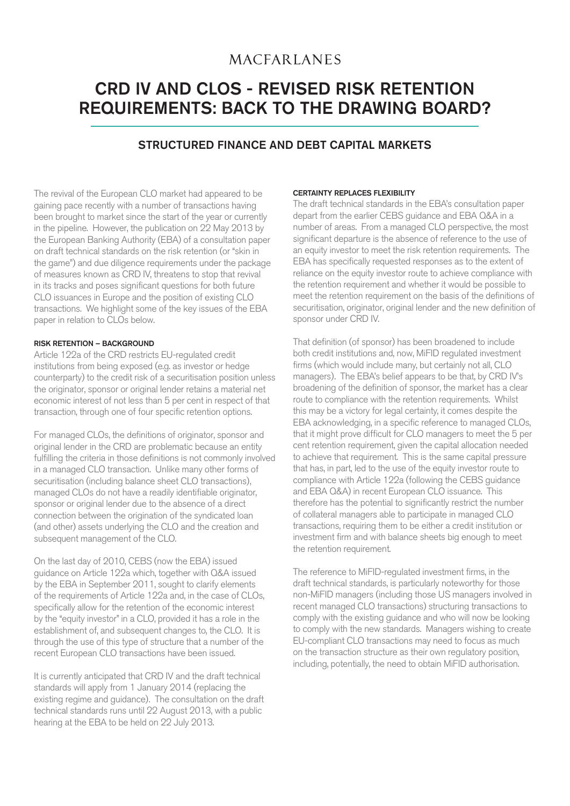## **MACFARLANES**

# CRD IV AND CLOS - REVISED RISK RETENTION REQUIREMENTS: BACK TO THE DRAWING BOARD?

### STRUCTURED FINANCE AND DEBT CAPITAL MARKETS

The revival of the European CLO market had appeared to be gaining pace recently with a number of transactions having been brought to market since the start of the year or currently in the pipeline. However, the publication on 22 May 2013 by the European Banking Authority (EBA) of a consultation paper on draft technical standards on the risk retention (or "skin in the game") and due diligence requirements under the package of measures known as CRD IV, threatens to stop that revival in its tracks and poses significant questions for both future CLO issuances in Europe and the position of existing CLO transactions. We highlight some of the key issues of the EBA paper in relation to CLOs below.

#### RISK RETENTION – BACKGROUND

Article 122a of the CRD restricts EU-regulated credit institutions from being exposed (e.g. as investor or hedge counterparty) to the credit risk of a securitisation position unless the originator, sponsor or original lender retains a material net economic interest of not less than 5 per cent in respect of that transaction, through one of four specific retention options.

For managed CLOs, the definitions of originator, sponsor and original lender in the CRD are problematic because an entity fulfilling the criteria in those definitions is not commonly involved in a managed CLO transaction. Unlike many other forms of securitisation (including balance sheet CLO transactions), managed CLOs do not have a readily identifiable originator, sponsor or original lender due to the absence of a direct connection between the origination of the syndicated loan (and other) assets underlying the CLO and the creation and subsequent management of the CLO.

On the last day of 2010, CEBS (now the EBA) issued guidance on Article 122a which, together with Q&A issued by the EBA in September 2011, sought to clarify elements of the requirements of Article 122a and, in the case of CLOs, specifically allow for the retention of the economic interest by the "equity investor" in a CLO, provided it has a role in the establishment of, and subsequent changes to, the CLO. It is through the use of this type of structure that a number of the recent European CLO transactions have been issued.

It is currently anticipated that CRD IV and the draft technical standards will apply from 1 January 2014 (replacing the existing regime and guidance). The consultation on the draft technical standards runs until 22 August 2013, with a public hearing at the EBA to be held on 22 July 2013.

#### CERTAINTY REPLACES FLEXIBILITY

The draft technical standards in the EBA's consultation paper depart from the earlier CEBS guidance and EBA Q&A in a number of areas. From a managed CLO perspective, the most significant departure is the absence of reference to the use of an equity investor to meet the risk retention requirements. The EBA has specifically requested responses as to the extent of reliance on the equity investor route to achieve compliance with the retention requirement and whether it would be possible to meet the retention requirement on the basis of the definitions of securitisation, originator, original lender and the new definition of sponsor under CRD IV.

That definition (of sponsor) has been broadened to include both credit institutions and, now, MiFID regulated investment firms (which would include many, but certainly not all, CLO managers). The EBA's belief appears to be that, by CRD IV's broadening of the definition of sponsor, the market has a clear route to compliance with the retention requirements. Whilst this may be a victory for legal certainty, it comes despite the EBA acknowledging, in a specific reference to managed CLOs, that it might prove difficult for CLO managers to meet the 5 per cent retention requirement, given the capital allocation needed to achieve that requirement. This is the same capital pressure that has, in part, led to the use of the equity investor route to compliance with Article 122a (following the CEBS guidance and EBA Q&A) in recent European CLO issuance. This therefore has the potential to significantly restrict the number of collateral managers able to participate in managed CLO transactions, requiring them to be either a credit institution or investment firm and with balance sheets big enough to meet the retention requirement.

The reference to MiFID-regulated investment firms, in the draft technical standards, is particularly noteworthy for those non-MiFID managers (including those US managers involved in recent managed CLO transactions) structuring transactions to comply with the existing guidance and who will now be looking to comply with the new standards. Managers wishing to create EU-compliant CLO transactions may need to focus as much on the transaction structure as their own regulatory position, including, potentially, the need to obtain MiFID authorisation.